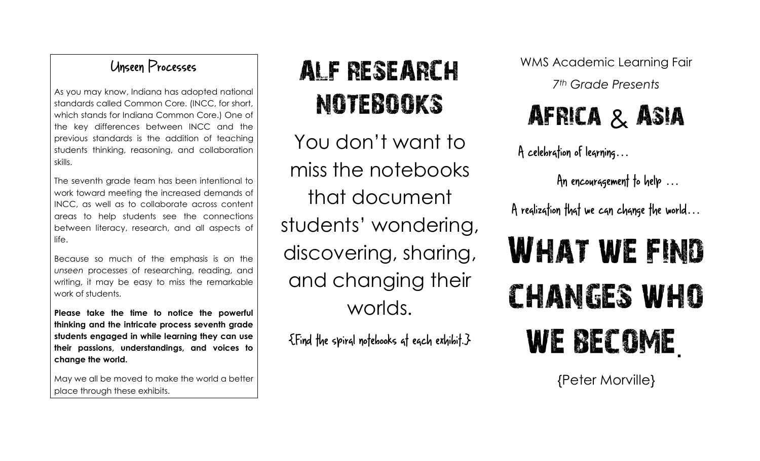#### Unseen Processes

As you may know, Indiana has adopted national standards called Common Core. (INCC, for short, which stands for Indiana Common Core.) One of the key differences between INCC and the previous standards is the addition of teaching students thinking, reasoning, and collaboration skills.

The seventh grade team has been intentional to work toward meeting the increased demands of INCC, as well as to collaborate across content areas to help students see the connections between literacy, research, and all aspects of life.

Because so much of the emphasis is on the *unseen* processes of researching, reading, and writing, it may be easy to miss the remarkable work of students.

**Please take the time to notice the powerful thinking and the intricate process seventh grade students engaged in while learning they can use their passions, understandings, and voices to change the world.**

May we all be moved to make the world a better place through these exhibits.

## ALF RESEARCH NOTEBOOKS

You don't want to miss the notebooks that document students' wondering, discovering, sharing, and changing their worlds.

 ${E}$   ${F}$   ${in}$   ${d}$   ${f}$   ${he}$  spiral notebooks at each exhibit.  ${F}$ 

WMS Academic Learning Fair

*7th Grade Presents*

### AFRICA & ASIA

 $A$  celebration of learning...

An encouragement to help  $\ldots$ 

A reglization that we can change the world...

# WHAT WE FIND changes who we become.

{Peter Morville}